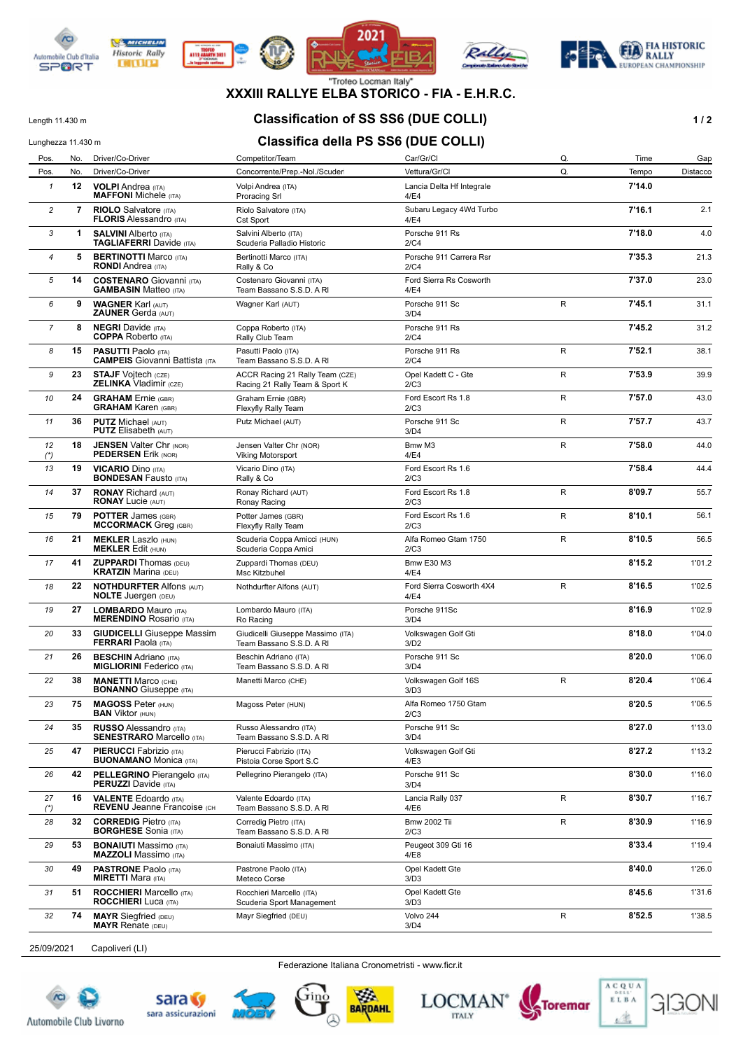

**WE MICHELIN** 

**Historic Rally** 

**DITURN** 









### **XXXIII RALLYE ELBA STORICO - FIA - E.H.R.C.**

# Length 11.430 m **Classification of SS SS6 (DUE COLLI) 1/2**

## Lunghezza 11.430 m<br>**Classifica della PS SS6 (DUE COLLI)**

| Pos.           | No. | Driver/Co-Driver                                                    | Competitor/Team                                                   | Car/Gr/Cl                         | Q. | Time   | Gap      |
|----------------|-----|---------------------------------------------------------------------|-------------------------------------------------------------------|-----------------------------------|----|--------|----------|
| Pos.           | No. | Driver/Co-Driver                                                    | Concorrente/Prep.-Nol./Scuder                                     | Vettura/Gr/Cl                     | Q. | Tempo  | Distacco |
| $\mathbf{1}$   | 12  | <b>VOLPI</b> Andrea (ITA)<br><b>MAFFONI</b> Michele (ITA)           | Volpi Andrea (ITA)<br><b>Proracing Srl</b>                        | Lancia Delta Hf Integrale<br>4/E4 |    | 7'14.0 |          |
| 2              | 7   | <b>RIOLO</b> Salvatore (ITA)<br><b>FLORIS Alessandro (ITA)</b>      | Riolo Salvatore (ITA)<br>Cst Sport                                | Subaru Legacy 4Wd Turbo<br>4/E4   |    | 7'16.1 | 2.1      |
| 3              | 1   | <b>SALVINI Alberto (ITA)</b><br><b>TAGLIAFERRI</b> Davide (ITA)     | Salvini Alberto (ITA)<br>Scuderia Palladio Historic               | Porsche 911 Rs<br>2/C4            |    | 7'18.0 | 4.0      |
| $\overline{4}$ | 5   | <b>BERTINOTTI Marco (ITA)</b><br><b>RONDI</b> Andrea (ITA)          | Bertinotti Marco (ITA)<br>Rally & Co                              | Porsche 911 Carrera Rsr<br>2/C4   |    | 7'35.3 | 21.3     |
| 5              | 14  | <b>COSTENARO</b> Giovanni (ITA)<br><b>GAMBASIN Matteo (ITA)</b>     | Costenaro Giovanni (ITA)<br>Team Bassano S.S.D. A RI              | Ford Sierra Rs Cosworth<br>4/E4   |    | 7'37.0 | 23.0     |
| 6              | 9   | <b>WAGNER Karl (AUT)</b><br><b>ZAUNER Gerda (AUT)</b>               | Wagner Karl (AUT)                                                 | Porsche 911 Sc<br>3/D4            | R  | 7'45.1 | 31.1     |
| $\overline{7}$ | 8   | <b>NEGRI</b> Davide (ITA)<br><b>COPPA</b> Roberto (ITA)             | Coppa Roberto (ITA)<br>Rally Club Team                            | Porsche 911 Rs<br>2/C4            |    | 7'45.2 | 31.2     |
| 8              | 15  | <b>PASUTTI Paolo (ITA)</b><br><b>CAMPEIS</b> Giovanni Battista (ITA | Pasutti Paolo (ITA)<br>Team Bassano S.S.D. A RI                   | Porsche 911 Rs<br>2/C4            | R  | 7'52.1 | 38.1     |
| 9              | 23  | <b>STAJF Vojtech (CZE)</b><br><b>ZELINKA Vladimir (CZE)</b>         | ACCR Racing 21 Rally Team (CZE)<br>Racing 21 Rally Team & Sport K | Opel Kadett C - Gte<br>2/C3       | R  | 7'53.9 | 39.9     |
| 10             | 24  | <b>GRAHAM</b> Ernie (GBR)<br><b>GRAHAM Karen (GBR)</b>              | Graham Ernie (GBR)<br>Flexyfly Rally Team                         | Ford Escort Rs 1.8<br>2/C3        | R  | 7'57.0 | 43.0     |
| 11             | 36  | <b>PUTZ Michael (AUT)</b><br><b>PUTZ</b> Elisabeth (AUT)            | Putz Michael (AUT)                                                | Porsche 911 Sc<br>3/D4            | R  | 7'57.7 | 43.7     |
| 12<br>$(*)$    | 18  | <b>JENSEN Valter Chr (NOR)</b><br><b>PEDERSEN Erik (NOR)</b>        | Jensen Valter Chr (NOR)<br><b>Viking Motorsport</b>               | Bmw M3<br>4/E4                    | R  | 7'58.0 | 44.0     |
| 13             | 19  | <b>VICARIO Dino (ITA)</b><br><b>BONDESAN Fausto (ITA)</b>           | Vicario Dino (ITA)<br>Rally & Co                                  | Ford Escort Rs 1.6<br>2/C3        |    | 7'58.4 | 44.4     |
| 14             | 37  | <b>RONAY Richard (AUT)</b><br><b>RONAY Lucie (AUT)</b>              | Ronay Richard (AUT)<br>Ronay Racing                               | Ford Escort Rs 1.8<br>2/C3        | R  | 8'09.7 | 55.7     |
| 15             | 79  | <b>POTTER James (GBR)</b><br><b>MCCORMACK</b> Greg (GBR)            | Potter James (GBR)<br>Flexyfly Rally Team                         | Ford Escort Rs 1.6<br>2/C3        | R  | 8'10.1 | 56.1     |
| 16             | 21  | <b>MEKLER Laszlo (HUN)</b><br><b>MEKLER Edit (HUN)</b>              | Scuderia Coppa Amicci (HUN)<br>Scuderia Coppa Amici               | Alfa Romeo Gtam 1750<br>2/C3      | R  | 8'10.5 | 56.5     |
| 17             | 41  | <b>ZUPPARDI</b> Thomas (DEU)<br><b>KRATZIN Marina (DEU)</b>         | Zuppardi Thomas (DEU)<br>Msc Kitzbuhel                            | <b>Bmw E30 M3</b><br>4/E4         |    | 8'15.2 | 1'01.2   |
| 18             | 22  | <b>NOTHDURFTER Alfons (AUT)</b><br><b>NOLTE</b> Juergen (DEU)       | Nothdurfter Alfons (AUT)                                          | Ford Sierra Cosworth 4X4<br>4/E4  | R  | 8'16.5 | 1'02.5   |
| 19             | 27  | <b>LOMBARDO Mauro (ITA)</b><br><b>MERENDINO Rosario (ITA)</b>       | Lombardo Mauro (ITA)<br>Ro Racing                                 | Porsche 911Sc<br>3/D4             |    | 8'16.9 | 1'02.9   |
| 20             | 33  | <b>GIUDICELLI</b> Giuseppe Massim<br><b>FERRARI</b> Paola (ITA)     | Giudicelli Giuseppe Massimo (ITA)<br>Team Bassano S.S.D. A RI     | Volkswagen Golf Gti<br>3/D2       |    | 8'18.0 | 1'04.0   |
| 21             | 26  | <b>BESCHIN</b> Adriano (ITA)<br><b>MIGLIORINI Federico</b> (ITA)    | Beschin Adriano (ITA)<br>Team Bassano S.S.D. A RI                 | Porsche 911 Sc<br>3/D4            |    | 8'20.0 | 1'06.0   |
| 22             | 38  | <b>MANETTI Marco (CHE)</b><br><b>BONANNO</b> Giuseppe (ITA)         | Manetti Marco (CHE)                                               | Volkswagen Golf 16S<br>3/D3       | R  | 8'20.4 | 1'06.4   |
| 23             | 75  | <b>MAGOSS Peter (HUN)</b><br><b>BAN VIKTOL</b> (HUN)                | Magoss Peter (HUN)                                                | Alfa Romeo 1750 Gtam<br>2/C3      |    | 8'20.5 | 1'06.5   |
| 24             | 35  | <b>RUSSO</b> Alessandro (ITA)<br><b>SENESTRARO Marcello (ITA)</b>   | Russo Alessandro (ITA)<br>Team Bassano S.S.D. A RI                | Porsche 911 Sc<br>3/D4            |    | 8'27.0 | 1'13.0   |
| 25             | 47  | <b>PIERUCCI</b> Fabrizio (ITA)<br><b>BUONAMANO</b> Monica (ITA)     | Pierucci Fabrizio (ITA)<br>Pistoia Corse Sport S.C                | Volkswagen Golf Gti<br>4/E3       |    | 8'27.2 | 1'13.2   |
| 26             | 42  | <b>PELLEGRINO</b> Pierangelo (ITA)<br><b>PERUZZI</b> Davide (ITA)   | Pellegrino Pierangelo (ITA)                                       | Porsche 911 Sc<br>3/D4            |    | 8'30.0 | 1'16.0   |
| 27<br>$(*)$    | 16  | <b>VALENTE Edoardo</b> (ITA)<br><b>REVENU Jeanne Francoise (CH)</b> | Valente Edoardo (ITA)<br>Team Bassano S.S.D. A RI                 | Lancia Rally 037<br>4/E6          | R  | 8'30.7 | 1'16.7   |
| 28             | 32  | <b>CORREDIG Pietro (ITA)</b><br><b>BORGHESE</b> Sonia (ITA)         | Corredig Pietro (ITA)<br>Team Bassano S.S.D. A RI                 | <b>Bmw 2002 Tii</b><br>2/C3       | R  | 8'30.9 | 1'16.9   |
| 29             | 53  | <b>BONAIUTI Massimo</b> (ITA)<br><b>MAZZOLI</b> Massimo (ITA)       | Bonaiuti Massimo (ITA)                                            | Peugeot 309 Gti 16<br>4/E8        |    | 8'33.4 | 1'19.4   |
| 30             | 49  | <b>PASTRONE Paolo (ITA)</b><br><b>MIRETTI</b> Mara (ITA)            | Pastrone Paolo (ITA)<br>Meteco Corse                              | Opel Kadett Gte<br>3/D3           |    | 8'40.0 | 1'26.0   |
| 31             | 51  | <b>ROCCHIERI</b> Marcello (ITA)<br><b>ROCCHIERI</b> Luca (ITA)      | Rocchieri Marcello (ITA)<br>Scuderia Sport Management             | Opel Kadett Gte<br>3/D3           |    | 8'45.6 | 1'31.6   |
| 32             | 74  | <b>MAYR</b> Siegfried (DEU)<br><b>MAYR Renate (DEU)</b>             | Mayr Siegfried (DEU)                                              | Volvo 244<br>3/D4                 | R  | 8'52.5 | 1'38.5   |

25/09/2021 Capoliveri (LI)

Federazione Italiana Cronometristi - www.ficr.it







BARDAHL